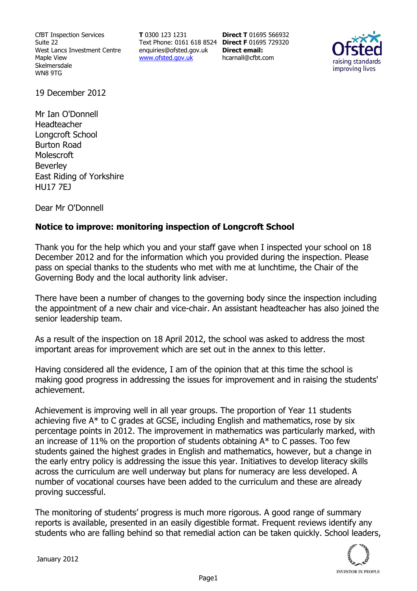CfBT Inspection Services Suite 22 West Lancs Investment Centre Maple View Skelmersdale WN8 9TG

**T** 0300 123 1231 Text Phone: 0161 618 8524 **Direct F** 01695 729320 enquiries@ofsted.gov.uk www.ofsted.gov.uk

**Direct T** 01695 566932 **Direct email:**  hcarnall@cfbt.com



19 December 2012

Mr Ian O'Donnell Headteacher Longcroft School Burton Road **Molescroft** Beverley East Riding of Yorkshire HU17 7EJ

Dear Mr O'Donnell

## **Notice to improve: monitoring inspection of Longcroft School**

Thank you for the help which you and your staff gave when I inspected your school on 18 December 2012 and for the information which you provided during the inspection. Please pass on special thanks to the students who met with me at lunchtime, the Chair of the Governing Body and the local authority link adviser.

There have been a number of changes to the governing body since the inspection including the appointment of a new chair and vice-chair. An assistant headteacher has also joined the senior leadership team.

As a result of the inspection on 18 April 2012, the school was asked to address the most important areas for improvement which are set out in the annex to this letter.

Having considered all the evidence, I am of the opinion that at this time the school is making good progress in addressing the issues for improvement and in raising the students' achievement.

Achievement is improving well in all year groups. The proportion of Year 11 students achieving five A\* to C grades at GCSE, including English and mathematics, rose by six percentage points in 2012. The improvement in mathematics was particularly marked, with an increase of 11% on the proportion of students obtaining  $A^*$  to C passes. Too few students gained the highest grades in English and mathematics, however, but a change in the early entry policy is addressing the issue this year. Initiatives to develop literacy skills across the curriculum are well underway but plans for numeracy are less developed. A number of vocational courses have been added to the curriculum and these are already proving successful.

The monitoring of students' progress is much more rigorous. A good range of summary reports is available, presented in an easily digestible format. Frequent reviews identify any students who are falling behind so that remedial action can be taken quickly. School leaders,

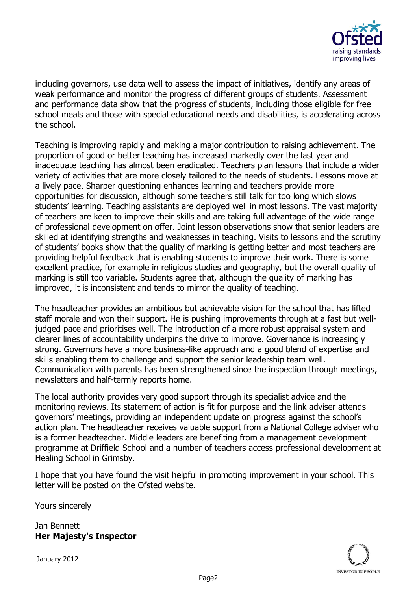

including governors, use data well to assess the impact of initiatives, identify any areas of weak performance and monitor the progress of different groups of students. Assessment and performance data show that the progress of students, including those eligible for free school meals and those with special educational needs and disabilities, is accelerating across the school.

Teaching is improving rapidly and making a major contribution to raising achievement. The proportion of good or better teaching has increased markedly over the last year and inadequate teaching has almost been eradicated. Teachers plan lessons that include a wider variety of activities that are more closely tailored to the needs of students. Lessons move at a lively pace. Sharper questioning enhances learning and teachers provide more opportunities for discussion, although some teachers still talk for too long which slows students' learning. Teaching assistants are deployed well in most lessons. The vast majority of teachers are keen to improve their skills and are taking full advantage of the wide range of professional development on offer. Joint lesson observations show that senior leaders are skilled at identifying strengths and weaknesses in teaching. Visits to lessons and the scrutiny of students' books show that the quality of marking is getting better and most teachers are providing helpful feedback that is enabling students to improve their work. There is some excellent practice, for example in religious studies and geography, but the overall quality of marking is still too variable. Students agree that, although the quality of marking has improved, it is inconsistent and tends to mirror the quality of teaching.

The headteacher provides an ambitious but achievable vision for the school that has lifted staff morale and won their support. He is pushing improvements through at a fast but welljudged pace and prioritises well. The introduction of a more robust appraisal system and clearer lines of accountability underpins the drive to improve. Governance is increasingly strong. Governors have a more business-like approach and a good blend of expertise and skills enabling them to challenge and support the senior leadership team well. Communication with parents has been strengthened since the inspection through meetings, newsletters and half-termly reports home.

The local authority provides very good support through its specialist advice and the monitoring reviews. Its statement of action is fit for purpose and the link adviser attends governors' meetings, providing an independent update on progress against the school's action plan. The headteacher receives valuable support from a National College adviser who is a former headteacher. Middle leaders are benefiting from a management development programme at Driffield School and a number of teachers access professional development at Healing School in Grimsby.

I hope that you have found the visit helpful in promoting improvement in your school. This letter will be posted on the Ofsted website.

Yours sincerely

Jan Bennett **Her Majesty's Inspector**

January 2012